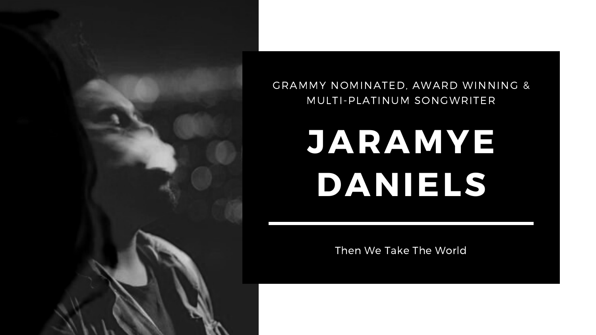# **JARAMYE DANIELS**

Then We Take The World



## GRAMMY NOMINATED, AWARD WINNING & MULTI-PLATINUM SONGWRITER